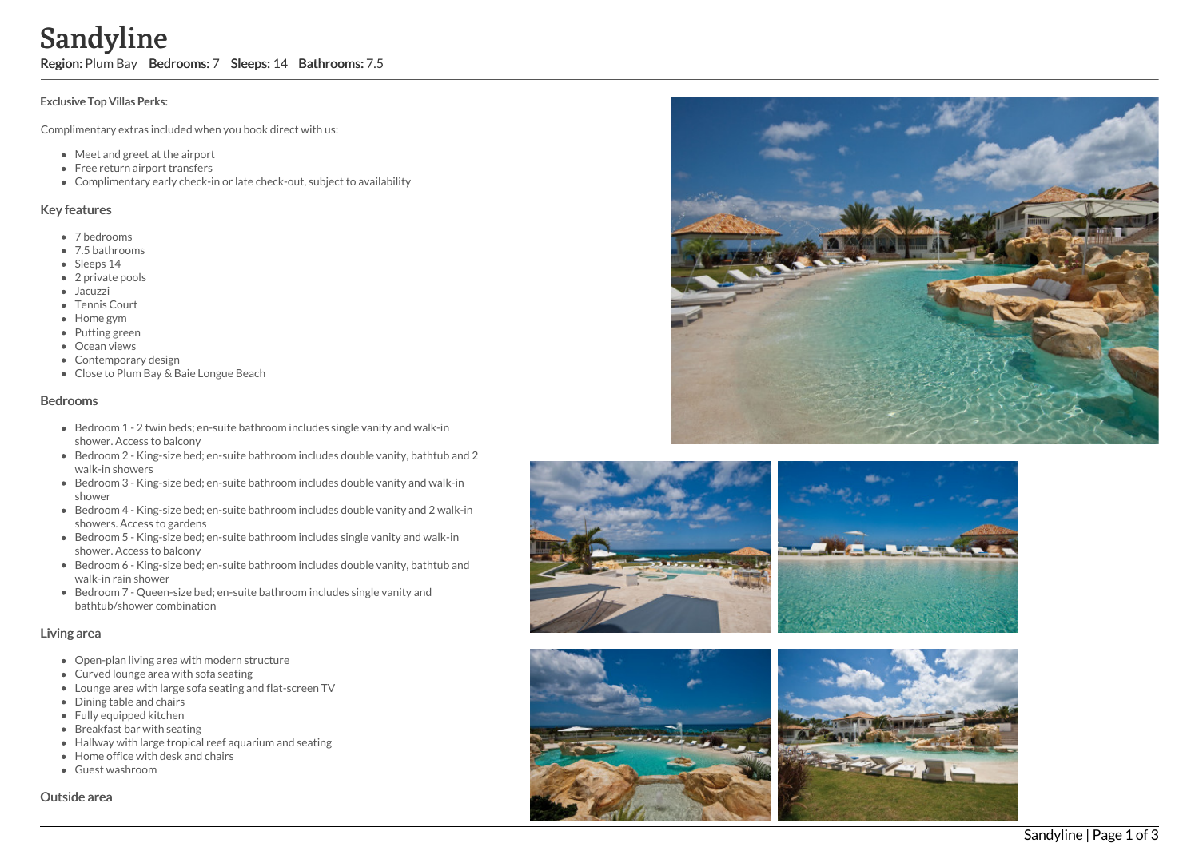# Sandyline

Region: Plum Bay Bedrooms: 7 Sleeps: 14 Bathrooms: 7.5

#### Exclusive Top Villas Perks:

Complimentary extras included when you book direct with us:

- Meet and greet at the airport
- Free return airport transfers
- Complimentary early check-in or late check-out, subject to availability

#### Key features

- 7 b e d r o o m s
- 7.5 bathrooms
- Sleeps 14
- 2 private pools
- Jacuzzi
- Tennis Court
- H o m e g y m
- Putting green
- Ocean views
- Contemporary design
- Close to Plum Bay & Baie Longue Beach

### **Bedrooms**

- Bedroom 1 2 twin beds; en-suite bathroom includes single vanity and walk-in s h o w e r. A c c e s s t o b alc o n y
- Bedroom 2 King-size bed; en-suite bathroom includes double vanity, bathtub and 2 walk-in showers
- Bedroom 3 King-size bed; en-suite bathroom includes double vanity and walk-in s h o w e r
- Bedroom 4 King-size bed; en-suite bathroom includes double vanity and 2 walk-in showers. Access to gardens
- Bedroom 5 King-size bed; en-suite bathroom includes single vanity and walk-in s h o w e r. A c c e s s t o b alc o n y
- Bedroom 6 King-size bed; en-suite bathroom includes double vanity, bathtub and walk-in rain shower
- Bedroom 7 Queen-size bed; en-suite bathroom includes single vanity and bathtub/shower combination

### Living area

- Open-plan living area with modern structure
- Curved lounge area with sofa seating
- Lounge area with large sofa seating and flat-screen TV
- Dining table and chairs
- Fully equipped kitchen
- Breakfast bar with seating
- Hallway with large tropical reef aquarium and seating
- Home office with desk and chairs
- Guest washroom

Outside area









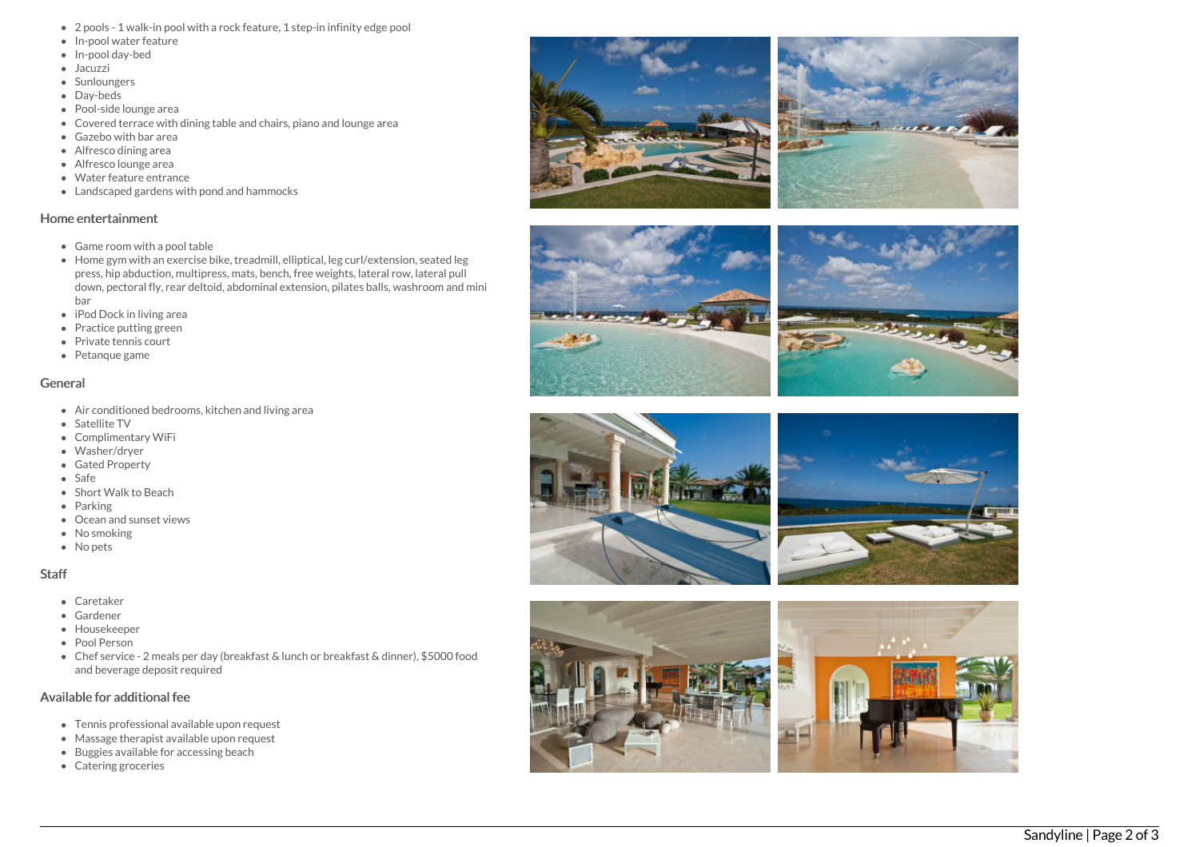- 2 pools 1 walk-in pool with a rock feature, 1 step-in infinity edge pool
- In-pool water feature
- In-pool day-bed
- Jacuzzi
- Sunloungers
- Day-beds
- Pool-side lounge area
- Covered terrace with dining table and chairs, piano and lounge area
- Gazebo with bar area
- Alfresco dining area
- Alfresco lounge area
- Water feature entrance
- Landscaped gardens with pond and hammocks

#### Home entertainment

- Game room with a pool table
- Home gym with an exercise bike, treadmill, elliptical, leg curl/extension, seated leg press, hip abduction, multipress, mats, bench, free weights, lateral row, lateral pull down, pectoral fly, rear deltoid, abdominal extension, pilates balls, washroom and mini bar
- iPod Dock in living area
- Practice putting green
- Private tennis court
- Petanque game

### General

- Air conditioned bedrooms, kitchen and living area
- Satellite TV
- Complimentary WiFi
- Washer/dryer
- Gated Property
- Safe
- Short Walk to Beach
- Parking
- Ocean and sunset vie w s
- No smoking
- No pets

### S t a f f

- Caretaker
- Gardener
- Housekeeper
- Pool Person
- Chef service 2 meals per day (breakfast & lunch or breakfast & dinner), \$5000 food and beverage deposit required

## Available for additional fee

- Tennis professional available upon request
- Massage therapist available upon request
- Buggies available for accessing beach
- Catering groceries